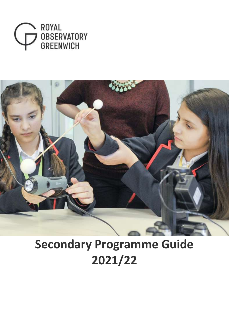



# **Secondary Programme Guide 2021/22**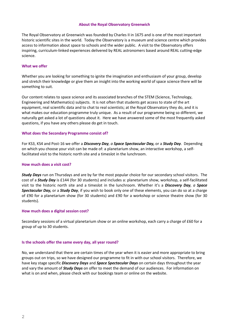#### **About the Royal Observatory Greenwich**

The Royal Observatory at Greenwich was founded by Charles II in 1675 and is one of the most important historic scientific sites in the world. Today the Observatory is a museum and science centre which provides access to information about space to schools and the wider public. A visit to the Observatory offers inspiring, curriculum-linked experiences delivered by REAL astronomers based around REAL cutting-edge science.

#### **What we offer**

Whether you are looking for something to ignite the imagination and enthusiasm of your group, develop and stretch their knowledge or give them an insight into the working world of space science there will be something to suit.

Our content relates to space science and its associated branches of the STEM (Science, Technology, Engineering and Mathematics) subjects. It is not often that students get access to state of the art equipment, real scientific data and to chat to real scientists; at the Royal Observatory they do, and it is what makes our education programme truly unique. As a result of our programme being so different, we naturally get asked a lot of questions about it. Here we have answered some of the most frequently asked questions, if you have any others please do get in touch.

#### **What does the Secondary Programme consist of?**

For KS3, KS4 and Post-16 we offer a *Discovery Day, a Space Spectacular Day,* or a *Study Day*. Depending on which you choose your visit can be made of: a planetarium show, an interactive workshop, a selffacilitated visit to the historic north site and a timeslot in the lunchroom.

#### **How much does a visit cost?**

*Study Days* run on Thursdays and are by far the most popular choice for our secondary school visitors. The cost of a *Study Day* is £144 (for 30 students) and includes a: planetarium show, workshop, a self-facilitated visit to the historic north site and a timeslot in the lunchroom. Whether it's a *Discovery Day, a Space Spectacular Day,* or a *Study Day*, if you wish to book only one of these elements, you can do so at a charge of £90 for a planetarium show (for 30 students) and £90 for a workshop or science theatre show (for 30 students).

#### **How much does a digital session cost?**

Secondary sessions of a virtual planetarium show or an online workshop, each carry a charge of £60 for a group of up to 30 students.

#### **Is the schools offer the same every day, all year round?**

No, we understand that there are certain times of the year when it is easier and more appropriate to bring groups out on trips, so we have designed our programme to fit in with our school visitors. Therefore, we have key stage specific *Discovery Days* and *Space Spectacular Days* on certain days throughout the year and vary the amount of *Study Days* on offer to meet the demand of our audiences. For information on what is on and when, please check with our bookings team or online on the website.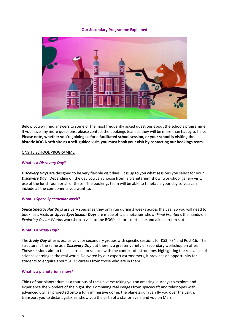#### **Our Secondary Programme Explained**



Below you will find answers to some of the most frequently asked questions about the schools programme. If you have any more questions, please contact the bookings team as they will be more than happy to help. **Please note, whether you're joining us for a facilitated school session, or your school is visiting the historic ROG North site as a self-guided visit, you must book your visit by contacting our bookings team.**

#### ONSITE SCHOOL PROGRAMME

#### **What is a** *Discovery Day***?**

*Discovery Days* are designed to be very flexible visit days. It is up to you what sessions you select for your *Discovery Day*. Depending on the day you can choose from: a planetarium show, workshop, gallery visit, use of the lunchroom or all of these. The bookings team will be able to timetable your day so you can include all the components you want to.

#### **What is** *Space Spectacular* **week?**

*Space Spectacular Days* are very special as they only run during 3 weeks across the year so you will need to book fast. Visits on *Space Spectacular Days* are made of: a planetarium show (*Final Frontier*), the hands-on *Exploring Ocean Worlds* workshop*,* a visit to the ROG's historic north site and a lunchroom slot.

#### **What is a** *Study Day***?**

The *Study Day* offer is exclusively for secondary groups with specific sessions for KS3, KS4 and Post-16. The structure is the same as a *Discovery Day* but there is a greater variety of secondary workshop on offer. These sessions aim to teach curriculum science with the context of astronomy, highlighting the relevance of science learning in the real world. Delivered by our expert astronomers, it provides an opportunity for students to enquire about STEM careers from those who are in them!

#### **What is a planetarium show?**

Think of our planetarium as a tour bus of the Universe taking you on amazing journeys to explore and experience the wonders of the night sky. Combining real images from spacecraft and telescopes with advanced CGI, all projected onto a fully immersive dome, the planetarium can fly you over the Earth, transport you to distant galaxies, show you the birth of a star or even land you on Mars.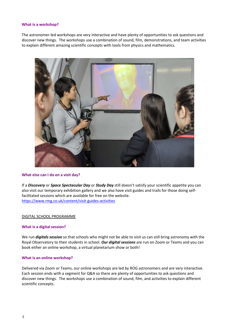#### **What is a workshop?**

The astronomer-led workshops are very interactive and have plenty of opportunities to ask questions and discover new things. The workshops use a combination of sound, film, demonstrations, and team activities to explain different amazing scientific concepts with tools from physics and mathematics.



#### **What else can I do on a visit day?**

If a *Discovery* or *Space Spectacular Day* or *Study Day* still doesn't satisfy your scientific appetite you can also visit our temporary exhibition gallery and we also have visit guides and trails for those doing selffacilitated sessions which are available for free on the website. <https://www.rmg.co.uk/content/visit-guides-activities>

#### DIGITAL SCHOOL PROGRAMME

#### **What is a digital session?**

We run *digitals session* so that schools who might not be able to visit us can still bring astronomy with the Royal Observatory to their students in school. *Our digital sessions* are run on Zoom or Teams and you can book either an online workshop, a virtual planetarium show or both!

#### **What is an online workshop?**

Delivered via Zoom or Teams, our online workshops are led by ROG astronomers and are very interactive. Each session ends with a segment for Q&A so there are plenty of opportunities to ask questions and discover new things. The workshops use a combination of sound, film, and activities to explain different scientific concepts.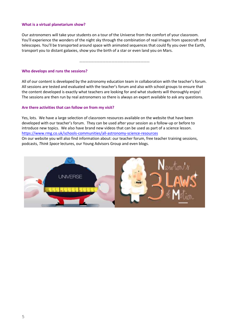#### **What is a virtual planetarium show?**

Our astronomers will take your students on a tour of the Universe from the comfort of your classroom. You'll experience the wonders of the night sky through the combination of real images from spacecraft and telescopes. You'll be transported around space with animated sequences that could fly you over the Earth, transport you to distant galaxies, show you the birth of a star or even land you on Mars.

………………………………………………………………

#### **Who develops and runs the sessions?**

All of our content is developed by the astronomy education team in collaboration with the teacher's forum. All sessions are tested and evaluated with the teacher's forum and also with school groups to ensure that the content developed is exactly what teachers are looking for and what students will thoroughly enjoy! The sessions are then run by real astronomers so there is always an expert available to ask any questions.

#### **Are there activities that can follow on from my visit?**

Yes, lots. We have a large selection of classroom resources available on the website that have been developed with our teacher's forum. They can be used after your session as a follow-up or before to introduce new topics. We also have brand new videos that can be used as part of a science lesson. <https://www.rmg.co.uk/schools-communities/all-astronomy-science-resources> On our website you will also find information about: our teacher forum, free teacher training sessions, podcasts, *Think Space* lectures, our Young Advisors Group and even blogs.

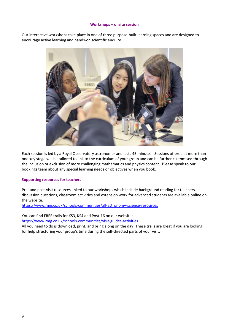#### **Workshops – onsite session**

Our interactive workshops take place in one of three purpose-built learning spaces and are designed to encourage active learning and hands-on scientific enquiry.



Each session is led by a Royal Observatory astronomer and lasts 45 minutes. Sessions offered at more than one key stage will be tailored to link to the curriculum of your group and can be further customised through the inclusion or exclusion of more challenging mathematics and physics content. Please speak to our bookings team about any special learning needs or objectives when you book.

#### **Supporting resources for teachers**

Pre- and post-visit resources linked to our workshops which include background reading for teachers, discussion questions, classroom activities and extension work for advanced students are available online on the website.

<https://www.rmg.co.uk/schools-communities/all-astronomy-science-resources>

You can find FREE trails for KS3, KS4 and Post-16 on our website: <https://www.rmg.co.uk/schools-communities/visit-guides-activities>

All you need to do is download, print, and bring along on the day! These trails are great if you are looking for help structuring your group's time during the self-directed parts of your visit.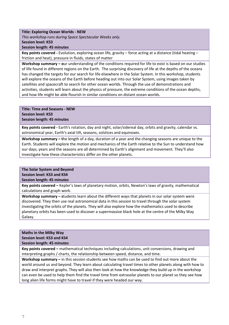#### **Title: Exploring Ocean Worlds - NEW**

*This workshop runs during Space Spectacular Weeks only.*

**Session level: KS3**

**Session length: 45 minutes**

**Key points covered -** Evolution, exploring ocean life, gravity – force acting at a distance (tidal heating – friction and heat), pressure in fluids, states of matter

**Workshop summary – o**ur understanding of the conditions required for life to exist is based on our studies of life found in different regions on the Earth. The surprising discovery of life at the depths of the oceans has changed the targets for our search for life elsewhere in the Solar System. In this workshop, students will explore the oceans of the Earth before heading out into our Solar System, using images taken by satellites and spacecraft to search for other ocean worlds. Through the use of demonstrations and activities, students will learn about the physics of pressure, the extreme conditions of the ocean depths, and how life might be able flourish in similar conditions on distant ocean worlds.

### **Title: Time and Seasons - NEW Session level: KS3 Session length: 45 minutes**

**Key points covered -** Earth's rotation, day and night, solar/sidereal day, orbits and gravity, calendar vs. astronomical year, Earth's axial tilt, seasons, solstices and equinoxes.

**Workshop summary – t**he length of a day, duration of a year and the changing seasons are unique to the Earth. Students will explore the motion and mechanics of the Earth relative to the Sun to understand how our days, years and the seasons are all determined by Earth's alignment and movement. They'll also investigate how these characteristics differ on the other planets.

**The Solar System and Beyond Session level: KS3 and KS4 Session length: 45 minutes**

**Key points covered –** Kepler's laws of planetary motion, orbits, Newton's laws of gravity, mathematical calculations and graph work.

**Workshop summary – s**tudents learn about the different ways that planets in our solar system were discovered. They then use real astronomical data in this session to travel through the solar system investigating the orbits of the planets. They will also explore how the mathematics used to describe planetary orbits has been used to discover a supermassive black hole at the centre of the Milky Way Galaxy.

# **Maths in the Milky Way Session level: KS3 and KS4**

**Session length: 45 minutes**

**Key points covered –** mathematical techniques including calculations, unit conversions, drawing and interpreting graphs / charts, the relationship between speed, distance, and time.

**Workshop summary –** in this session students see how maths can be used to find out more about the world around us and beyond. They learn about calculating travel times to other planets along with how to draw and interpret graphs. They will also then look at how the knowledge they build up in the workshop can even be used to help them find the travel time from extrasolar planets to our planet so they see how long alien life forms might have to travel if they were headed our way.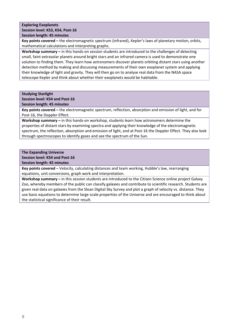#### **Exploring Exoplanets Session level: KS3, KS4, Post-16 Session length: 45 minutes**

**Key points covered –** the electromagnetic spectrum (infrared), Kepler's laws of planetary motion, orbits, mathematical calculations and interpreting graphs.

**Workshop summary –** in this hands-on session students are introduced to the challenges of detecting small, faint extrasolar planets around bright stars and an infrared camera is used to demonstrate one solution to finding them. They learn how astronomers discover planets orbiting distant stars using another detection method by making and discussing measurements of their own exoplanet system and applying their knowledge of light and gravity. They will then go on to analyse real data from the NASA space telescope Kepler and think about whether their exoplanets would be habitable.

#### **Studying Starlight**

# **Session level: KS4 and Post-16**

**Session length: 45 minutes**

**Key points covered –** the electromagnetic spectrum, reflection, absorption and emission of light, and for Post-16, the Doppler Effect.

**Workshop summary –** in this hands-on workshop, students learn how astronomers determine the properties of distant stars by examining spectra and applying their knowledge of the electromagnetic spectrum, the reflection, absorption and emission of light, and at Post-16 the Doppler Effect. They also look through spectroscopes to identify gases and see the spectrum of the Sun.

# **The Expanding Universe**

**Session level: KS4 and Post-16**

**Session length: 45 minutes**

**Key points covered** – Velocity, calculating distances and team working, Hubble's law, rearranging equations, unit conversions, graph work and interpretation.

**Workshop summary –** in this session students are introduced to the Citizen Science online project Galaxy Zoo, whereby members of the public can classify galaxies and contribute to scientific research. Students are given real data on galaxies from the Sloan Digital Sky Survey and plot a graph of velocity vs. distance. They use basic equations to determine large-scale properties of the Universe and are encouraged to think about the statistical significance of their result.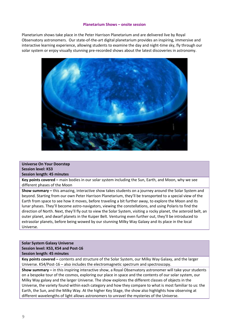#### **Planetarium Shows – onsite session**

Planetarium shows take place in the Peter Harrison Planetarium and are delivered live by Royal Observatory astronomers. Our state-of-the-art digital planetarium provides an inspiring, immersive and interactive learning experience, allowing students to examine the day and night-time sky, fly through our solar system or enjoy visually stunning pre-recorded shows about the latest discoveries in astronomy.



**Universe On Your Doorstep Session level: KS3 Session length: 45 minutes**

**Key points covered –** main bodies in our solar system including the Sun, Earth, and Moon, why we see different phases of the Moon

**Show summary –** this amazing, interactive show takes students on a journey around the Solar System and beyond. Starting from our own Peter Harrison Planetarium, they'll be transported to a special view of the Earth from space to see how it moves, before traveling a bit further away, to explore the Moon and its lunar phases. They'll become astro-navigators, viewing the constellations, and using Polaris to find the direction of North. Next, they'll fly out to view the Solar System, visiting a rocky planet, the asteroid belt, an outer planet, and dwarf planets in the Kuiper Belt. Venturing even further out, they'll be introduced to extrasolar planets, before being wowed by our stunning Milky Way Galaxy and its place in the local Universe.

#### **Solar System Galaxy Universe Session level: KS3, KS4 and Post-16 Session length: 45 minutes**

**Key points covered –** contents and structure of the Solar System, our Milky Way Galaxy, and the larger Universe. KS4/Post-16 – also includes the electromagnetic spectrum and spectroscopy.

**Show summary –** in this inspiring interactive show, a Royal Observatory astronomer will take your students on a bespoke tour of the cosmos, exploring our place in space and the contents of our solar system, our Milky Way galaxy and the larger Universe. The show explores the different classes of objects in the Universe, the variety found within each category and how they compare to what is most familiar to us: the Earth, the Sun, and the Milky Way. At the higher Key Stage, the show also highlights how observing at different wavelengths of light allows astronomers to unravel the mysteries of the Universe.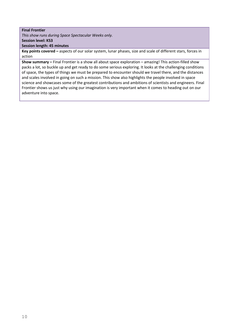# **Final Frontier**

*This show runs during Space Spectacular Weeks only.* **Session level: KS3**

**Session length: 45 minutes**

**Key points covered –** aspects of our solar system, lunar phases, size and scale of different stars, forces in action

**Show summary –** Final Frontier is a show all about space exploration – amazing! This action-filled show packs a lot, so buckle up and get ready to do some serious exploring. It looks at the challenging conditions of space, the types of things we must be prepared to encounter should we travel there, and the distances and scales involved in going on such a mission. This show also highlights the people involved in space science and showcases some of the greatest contributions and ambitions of scientists and engineers. Final Frontier shows us just why using our imagination is very important when it comes to heading out on our adventure into space.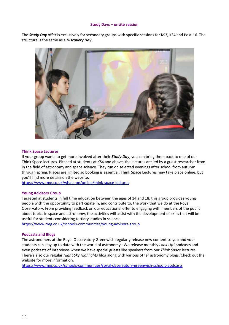#### **Study Days – onsite session**

The *Study Day* offer is exclusively for secondary groups with specific sessions for KS3, KS4 and Post-16. The structure is the same as a *Discovery Day*.



#### **Think Space Lectures**

If your group wants to get more involved after their *Study Day*, you can bring them back to one of our Think Space lectures. Pitched at students at KS4 and above, the lectures are led by a guest researcher from in the field of astronomy and space science. They run on selected evenings after school from autumn through spring. Places are limited so booking is essential. Think Space Lectures may take place online, but you'll find more details on the website.

<https://www.rmg.co.uk/whats-on/online/think-space-lectures>

#### **Young Advisors Group**

Targeted at students in full time education between the ages of 14 and 18, this group provides young people with the opportunity to participate in, and contribute to, the work that we do at the Royal Observatory. From providing feedback on our educational offer to engaging with members of the public about topics in space and astronomy, the activities will assist with the development of skills that will be useful for students considering tertiary studies in science.

<https://www.rmg.co.uk/schools-communities/young-advisors-group>

#### **Podcasts and Blogs**

The astronomers at the Royal Observatory Greenwich regularly release new content so you and your students can stay up to date with the world of astronomy. We release monthly *Look Up!* podcasts and even podcasts of interviews when we have special guests like speakers from our *Think Space* lectures. There's also our regular *Night Sky Highlights* blog along with various other astronomy blogs. Check out the website for more information.

<https://www.rmg.co.uk/schools-communities/royal-observatory-greenwich-schools-podcasts>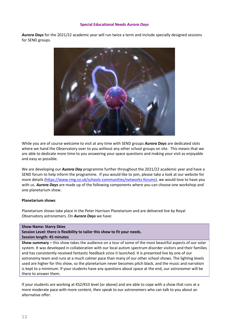#### **Special Educational Needs** *Aurora Days*

*Aurora Days* for the 2021/22 academic year will run twice a term and include specially designed sessions for SEND groups.



While you are of course welcome to visit at any time with SEND groups *Aurora Days* are dedicated slots where we hand the Observatory over to you without any other school groups on site. This means that we are able to dedicate more time to you answering your space questions and making your visit as enjoyable and easy as possible.

We are developing our *Aurora Day* programme further throughout the 2021/22 academic year and have a SEND forum to help inform the programme. If you would like to join, please take a look at our website for more details [\(https://www.rmg.co.uk/schools-communities/networks-forums\)](https://www.rmg.co.uk/schools-communities/networks-forums), we would love to have you with us. *Aurora Days* are made up of the following components where you can choose one workshop and one planetarium show.

#### **Planetarium shows**

Planetarium shows take place in the Peter Harrison Planetarium and are delivered live by Royal Observatory astronomers. On *Aurora Days* we have:

#### **Show Name: Starry Skies**

**Session Level: there is flexibility to tailor this show to fit your needs.**

#### **Session length: 45 minutes**

**Show summary –** this show takes the audience on a tour of some of the most beautiful aspects of our solar system. It was developed in collaboration with our local autism spectrum disorder visitors and their families and has consistently received fantastic feedback since it launched. It is presented live by one of our astronomy team and runs at a much calmer pace than many of our other school shows. The lighting levels used are higher for this show, so the planetarium never becomes pitch black, and the music and narration is kept to a minimum. If your students have any questions about space at the end, our astronomer will be there to answer them.

If your students are working at KS2/KS3 level (or above) and are able to cope with a show that runs at a more moderate pace with more content, then speak to our astronomers who can talk to you about an alternative offer.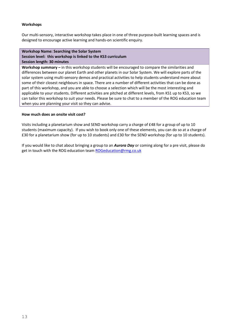# **Workshops**

Our multi-sensory, interactive workshop takes place in one of three purpose-built learning spaces and is designed to encourage active learning and hands-on scientific enquiry.

#### **Workshop Name: Searching the Solar System Session level: this workshop is linked to the KS3 curriculum Session length: 30 minutes**

**Workshop summary –** in this workshop students will be encouraged to compare the similarities and differences between our planet Earth and other planets in our Solar System. We will explore parts of the solar system using multi-sensory demos and practical activities to help students understand more about some of their closest neighbours in space. There are a number of different activities that can be done as part of this workshop, and you are able to choose a selection which will be the most interesting and applicable to your students. Different activities are pitched at different levels, from KS1 up to KS3, so we can tailor this workshop to suit your needs. Please be sure to chat to a member of the ROG education team when you are planning your visit so they can advise.

# **How much does an onsite visit cost?**

Visits including a planetarium show and SEND workshop carry a charge of £48 for a group of up to 10 students (maximum capacity). If you wish to book only one of these elements, you can do so at a charge of £30 for a planetarium show (for up to 10 students) and £30 for the SEND workshop (for up to 10 students).

If you would like to chat about bringing a group to an *Aurora Day* or coming along for a pre visit, please do get in touch with the ROG education team [ROGeducation@rmg.co.uk](mailto:ROGeducation@rmg.co.uk)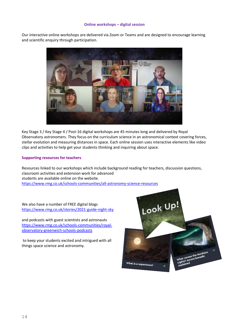# **Online workshops – digital session**

Our interactive online workshops are delivered via Zoom or Teams and are designed to encourage learning and scientific enquiry through participation.



Key Stage 3 / Key Stage 4 / Post-16 digital workshops are 45 minutes long and delivered by Royal Observatory astronomers. They focus on the curriculum science in an astronomical context covering forces, stellar evolution and measuring distances in space. Each online session uses interactive elements like video clips and activities to help get your students thinking and inquiring about space.

#### **Supporting resources for teachers**

Resources linked to our workshops which include background reading for teachers, discussion questions, classroom activities and extension work for advanced students are available online on the website. <https://www.rmg.co.uk/schools-communities/all-astronomy-science-resources>

We also have a number of FREE digital blogs <https://www.rmg.co.uk/stories/2021-guide-night-sky>

and podcasts with guest scientists and astronauts [https://www.rmg.co.uk/schools-communities/royal](https://www.rmg.co.uk/schools-communities/royal-observatory-greenwich-schools-podcasts)[observatory-greenwich-schools-podcasts](https://www.rmg.co.uk/schools-communities/royal-observatory-greenwich-schools-podcasts)

to keep your students excited and intrigued with all things space science and astronomy.

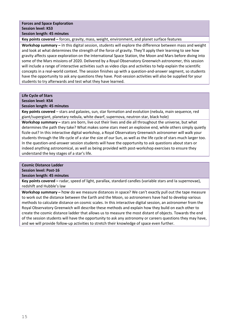# **Forces and Space Exploration Session level: KS3 Session length: 45 minutes**

**Key points covered –** forces, gravity, mass, weight, environment, and planet surface features

**Workshop summary –** in this digital session, students will explore the difference between mass and weight and look at what determines the strength of the force of gravity. They'll apply their learning to see how gravity affects space exploration on the International Space Station, the Moon and Mars before diving into some of the Mars missions of 2020. Delivered by a Royal Observatory Greenwich astronomer, this session will include a range of interactive activities such as video clips and activities to help explain the scientific concepts in a real-world context. The session finishes up with a question-and-answer segment, so students have the opportunity to ask any questions they have. Post-session activities will also be supplied for your students to try afterwards and test what they have learned.

# **Life Cycle of Stars Session level: KS4**

**Session length: 45 minutes**

**Key points covered** – stars and galaxies, sun, star formation and evolution (nebula, main sequence, red giant/supergiant, planetary nebula, white dwarf, supernova, neutron star, black hole)

**Workshop summary –** stars are born, live out their lives and die all throughout the universe, but what determines the path they take? What makes some stars meet an explosive end, while others simply quietly fizzle out? In this interactive digital workshop, a Royal Observatory Greenwich astronomer will walk your students through the life cycle of a star the size of our Sun, as well as the life cycle of stars much larger too. In the question-and-answer session students will have the opportunity to ask questions about stars or indeed anything astronomical, as well as being provided with post-workshop exercises to ensure they understand the key stages of a star's life.

# **Cosmic Distance Ladder**

# **Session level: Post-16**

# **Session length: 45 minutes**

**Key points covered –** radar, speed of light, parallax, standard candles (variable stars and Ia supernovae), redshift and Hubble's law

**Workshop summary –** how do we measure distances in space? We can't exactly pull out the tape measure to work out the distance between the Earth and the Moon, so astronomers have had to develop various methods to calculate distance on cosmic scales. In this interactive digital session, an astronomer from the Royal Observatory Greenwich will describe these methods and explain how they build on each other to create the cosmic distance ladder that allows us to measure the most distant of objects. Towards the end of the session students will have the opportunity to ask any astronomy or careers questions they may have, and we will provide follow-up activities to stretch their knowledge of space even further.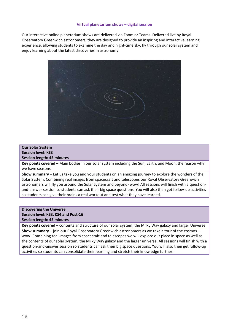#### **Virtual planetarium shows – digital session**

Our interactive online planetarium shows are delivered via Zoom or Teams. Delivered live by Royal Observatory Greenwich astronomers, they are designed to provide an inspiring and interactive learning experience, allowing students to examine the day and night-time sky, fly through our solar system and enjoy learning about the latest discoveries in astronomy.



#### **Our Solar System**

**Session level: KS3 Session length: 45 minutes**

**Key points covered** – Main bodies in our solar system including the Sun, Earth, and Moon; the reason why we have seasons

**Show summary –** Let us take you and your students on an amazing journey to explore the wonders of the Solar System. Combining real images from spacecraft and telescopes our Royal Observatory Greenwich astronomers will fly you around the Solar System and beyond- wow! All sessions will finish with a questionand-answer session so students can ask their big space questions. You will also then get follow-up activities so students can give their brains a real workout and test what they have learned.

#### **Discovering the Universe Session level: KS3, KS4 and Post-16**

**Session length: 45 minutes**

**Key points covered** – contents and structure of our solar system, the Milky Way galaxy and larger Universe **Show summary –** join our Royal Observatory Greenwich astronomers as we take a tour of the cosmos – wow! Combining real images from spacecraft and telescopes we will explore our place in space as well as the contents of our solar system, the Milky Way galaxy and the larger universe. All sessions will finish with a question-and-answer session so students can ask their big space questions. You will also then get follow-up activities so students can consolidate their learning and stretch their knowledge further.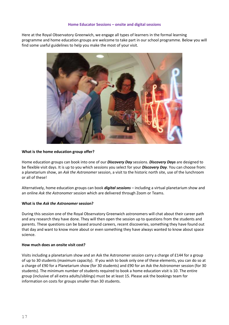#### **Home Educator Sessions – onsite and digital sessions**

Here at the Royal Observatory Greenwich, we engage all types of learners in the formal learning programme and home education groups are welcome to take part in our school programme. Below you will find some useful guidelines to help you make the most of your visit.



#### **What is the home education group offer?**

Home education groups can book into one of our *Discovery Day* sessions. *Discovery Days* are designed to be flexible visit days. It is up to you which sessions you select for your *Discovery Day*. You can choose from: a planetarium show, an *Ask the Astronomer* session, a visit to the historic north site, use of the lunchroom or all of these!

Alternatively, home education groups can book *digital sessions* – including a virtual planetarium show and an online *Ask the Astronomer* session which are delivered through Zoom or Teams.

#### **What is the** *Ask the Astronomer* **session?**

During this session one of the Royal Observatory Greenwich astronomers will chat about their career path and any research they have done. They will then open the session up to questions from the students and parents. These questions can be based around careers, recent discoveries, something they have found out that day and want to know more about or even something they have always wanted to know about space science.

#### **How much does an onsite visit cost?**

Visits including a planetarium show and an Ask the Astronomer session carry a charge of £144 for a group of up to 30 students (maximum capacity). If you wish to book only one of these elements, you can do so at a charge of £90 for a Planetarium show (for 30 students) and £90 for an Ask the Astronomer session (for 30 students). The minimum number of students required to book a home education visit is 10. The entire group (inclusive of all extra adults/siblings) must be at least 15. Please ask the bookings team for information on costs for groups smaller than 30 students.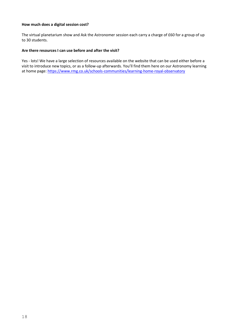#### **How much does a digital session cost?**

The virtual planetarium show and Ask the Astronomer session each carry a charge of £60 for a group of up to 30 students.

# **Are there resources I can use before and after the visit?**

Yes - lots! We have a large selection of resources available on the website that can be used either before a visit to introduce new topics, or as a follow-up afterwards. You'll find them here on our Astronomy learning at home page[: https://www.rmg.co.uk/schools-communities/learning-home-royal-observatory](https://www.rmg.co.uk/schools-communities/learning-home-royal-observatory)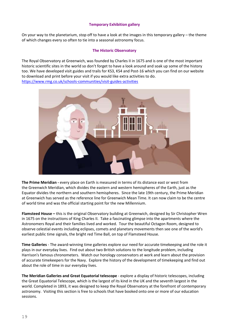# **Temporary Exhibition gallery**

On your way to the planetarium, stop off to have a look at the images in this temporary gallery – the theme of which changes every so often to tie into a seasonal astronomy focus.

# **The Historic Observatory**

The Royal Observatory at Greenwich, was founded by Charles II in 1675 and is one of the most important historic scientific sites in the world so don't forget to have a look around and soak up some of the history too. We have developed visit guides and trails for KS3, KS4 and Post-16 which you can find on our website to download and print before your visit if you would like extra activities to do. <https://www.rmg.co.uk/schools-communities/visit-guides-activities>



**The Prime Meridian -** every place on Earth is measured in terms of its distance east or west from the Greenwich Meridian, which divides the eastern and western hemispheres of the Earth, just as the Equator divides the northern and southern hemispheres. Since the late 19th century, the Prime Meridian at Greenwich has served as the reference line for Greenwich Mean Time. It can now claim to be the centre of world time and was the official starting point for the new Millennium.

**Flamsteed House –** this is the original Observatory building at Greenwich, designed by Sir Christopher Wren in 1675 on the instructions of King Charles II. Take a fascinating glimpse into the apartments where the Astronomers Royal and their families lived and worked. Tour the beautiful Octagon Room, designed to observe celestial events including eclipses, comets and planetary movements then see one of the world's earliest public time signals, the bright red Time Ball, on top of Flamsteed House.

**Time Galleries** - The award-winning time galleries explore our need for accurate timekeeping and the role it plays in our everyday lives. Find out about two British solutions to the longitude problem, including Harrison's famous chronometers. Watch our horology conservators at work and learn about the provision of accurate timekeepers for the Navy. Explore the history of the development of timekeeping and find out about the role of time in our everyday lives.

**The Meridian Galleries and Great Equatorial telescope** - explore a display of historic telescopes, including the Great Equatorial Telescope, which is the largest of its kind in the UK and the seventh largest in the world. Completed in 1893, it was designed to keep the Royal Observatory at the forefront of contemporary astronomy. Visiting this section is free to schools that have booked onto one or more of our education sessions.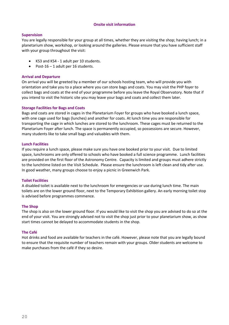#### **Onsite visit information**

# **Supervision**

You are legally responsible for your group at all times, whether they are visiting the shop; having lunch; in a planetarium show, workshop, or looking around the galleries. Please ensure that you have sufficient staff with your group throughout the visit:

- KS3 and KS4 1 adult per 10 students.
- Post-16 1 adult per 16 students.

#### **Arrival and Departure**

On arrival you will be greeted by a member of our schools hosting team, who will provide you with orientation and take you to a place where you can store bags and coats. You may visit the PHP foyer to collect bags and coats at the end of your programme before you leave the Royal Observatory. Note that if you intend to visit the historic site you may leave your bags and coats and collect them later.

#### **Storage Facilities for Bags and Coats**

Bags and coats are stored in cages in the Planetarium Foyer for groups who have booked a lunch space, with one cage used for bags (lunches) and another for coats. At lunch time you are responsible for transporting the cage in which lunches are stored to the lunchroom. These cages must be returned to the Planetarium Foyer after lunch. The space is permanently occupied, so possessions are secure. However, many students like to take small bags and valuables with them.

#### **Lunch Facilities**

If you require a lunch space, please make sure you have one booked prior to your visit. Due to limited space, lunchrooms are only offered to schools who have booked a full science programme. Lunch facilities are provided on the first floor of the Astronomy Centre. Capacity is limited and groups must adhere strictly to the lunchtime listed on the Visit Schedule. Please ensure the lunchroom is left clean and tidy after use. In good weather, many groups choose to enjoy a picnic in Greenwich Park.

#### **Toilet Facilities**

A disabled toilet is available next to the lunchroom for emergencies or use during lunch time. The main toilets are on the lower ground floor, next to the Temporary Exhibition gallery. An early morning toilet stop is advised before programmes commence.

#### **The Shop**

The shop is also on the lower ground floor. If you would like to visit the shop you are advised to do so at the end of your visit. You are strongly advised not to visit the shop just prior to your planetarium show, as show start times cannot be delayed to accommodate students in the shop.

#### **The Café**

Hot drinks and food are available for teachers in the café. However, please note that you are legally bound to ensure that the requisite number of teachers remain with your groups. Older students are welcome to make purchases from the café if they so desire.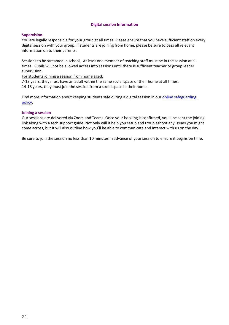# **Digital session Information**

#### **Supervision**

You are legally responsible for your group at all times. Please ensure that you have sufficient staff on every digital session with your group. If students are joining from home, please be sure to pass all relevant information on to their parents:

Sessions to be streamed in school - At least one member of teaching staff must be in the session at all times. Pupils will not be allowed access into sessions until there is sufficient teacher or group leader supervision.

For students joining a session from home aged:

7-13 years, they must have an adult within the same social space of their home at all times. 14-18 years, they must join the session from a social space in their home.

Find more information about keeping students safe during a digital session in our online safeguarding [policy.](https://www.rmg.co.uk/file/12656/download?token=iqU3LhDz)

#### **Joining a session**

Our sessions are delivered via Zoom and Teams. Once your booking is confirmed, you'll be sent the joining link along with a tech support guide. Not only will it help you setup and troubleshoot any issues you might come across, but it will also outline how you'll be able to communicate and interact with us on the day.

Be sure to join the session no less than 10 minutes in advance of your session to ensure it begins on time.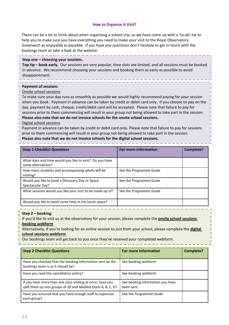#### **How to Organise A Visit?**

There can be a lot to think about when organising a school trip, so we have come up with a 'to-do' list to help you to make sure you have everything you need to make your visit to the Royal Observatory Greenwich as enjoyable as possible. If you have any questions don't hesitate to get in touch with the bookings team or take a look at the website.

#### **Step one – choosing your sessions.**

**Top tip – book early.** Our sessions are very popular, time slots are limited, and all sessions must be booked in advance. We recommend choosing your sessions and booking them as early as possible to avoid disappointment.

#### **Payment of sessions**

#### Onsite school sessions

To make sure your day runs as smoothly as possible we would highly recommend paying for your session when you book. Payment in advance can be taken by credit or debit card only. If you choose to pay on the day, payment by cash, cheque, credit/debit card will be accepted. Please note that failure to pay for sessions prior to them commencing will result in your group not being allowed to take part in the session. **Please also note that we do not invoice schools for the onsite school sessions.**

#### Digital school sessions

Payment in advance can be taken by credit or debit card only. Please note that failure to pay for sessions prior to them commencing will result in your group not being allowed to take part in the session.

# **Please also note that we do not invoice schools for the digital school sessions.**

| <b>Step 1 Checklist Questions</b>                                             | For more information    | Complete? |
|-------------------------------------------------------------------------------|-------------------------|-----------|
| What date and time would you like to visit? Do you have<br>some alternatives? |                         |           |
| How many students and accompanying adults will be<br>visiting?                | See the Programme Guide |           |
| Would you like to book a Discovery Day or Space<br>Spectacular Day?           | See the Programme Guide |           |
| What sessions would you like your visit to be made up of?                     | See the Programme Guide |           |
| Would you like to book some time in the lunch space?                          |                         |           |

#### **Step 2 – booking.**

If you'd like to visit us at the observatory for your session, please complete the **onsite school sessions booking webform**

Alternatively, if you're looking for an online session to join from your school, please complete the **digital school sessions webform**

Our bookings team will get back to you once they've received your completed webform.

| <b>Step 2 Checklist Questions</b>                                                                                           | For more information                           | <b>Complete?</b> |
|-----------------------------------------------------------------------------------------------------------------------------|------------------------------------------------|------------------|
| Have you checked that the booking information sent by the<br>bookings team is as it should be?                              | See booking webform                            |                  |
| Have you read the cancellation policy?                                                                                      | See booking webform                            |                  |
| If you have more than one class visiting at once, have you<br>split them up into groups of 30 and labelled them A, B, C, D? | See booking information you have<br>been sent. |                  |
| Have you ensured that you have enough staff to supervise<br>each group?                                                     | See the Programme Guide                        |                  |